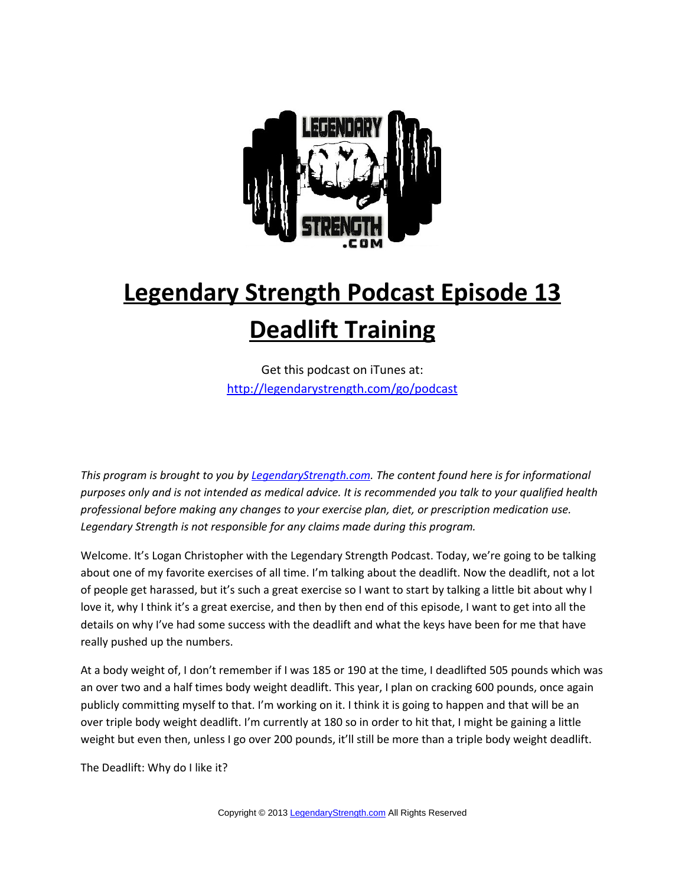

## **Legendary Strength Podcast Episode 13 Deadlift Training**

Get this podcast on iTunes at: <http://legendarystrength.com/go/podcast>

*This program is brought to you by [LegendaryStrength.com.](http://LegendaryStrength.com/) The content found here is for informational purposes only and is not intended as medical advice. It is recommended you talk to your qualified health professional before making any changes to your exercise plan, diet, or prescription medication use. Legendary Strength is not responsible for any claims made during this program.* 

Welcome. It's Logan Christopher with the Legendary Strength Podcast. Today, we're going to be talking about one of my favorite exercises of all time. I'm talking about the deadlift. Now the deadlift, not a lot of people get harassed, but it's such a great exercise so I want to start by talking a little bit about why I love it, why I think it's a great exercise, and then by then end of this episode, I want to get into all the details on why I've had some success with the deadlift and what the keys have been for me that have really pushed up the numbers.

At a body weight of, I don't remember if I was 185 or 190 at the time, I deadlifted 505 pounds which was an over two and a half times body weight deadlift. This year, I plan on cracking 600 pounds, once again publicly committing myself to that. I'm working on it. I think it is going to happen and that will be an over triple body weight deadlift. I'm currently at 180 so in order to hit that, I might be gaining a little weight but even then, unless I go over 200 pounds, it'll still be more than a triple body weight deadlift.

The Deadlift: Why do I like it?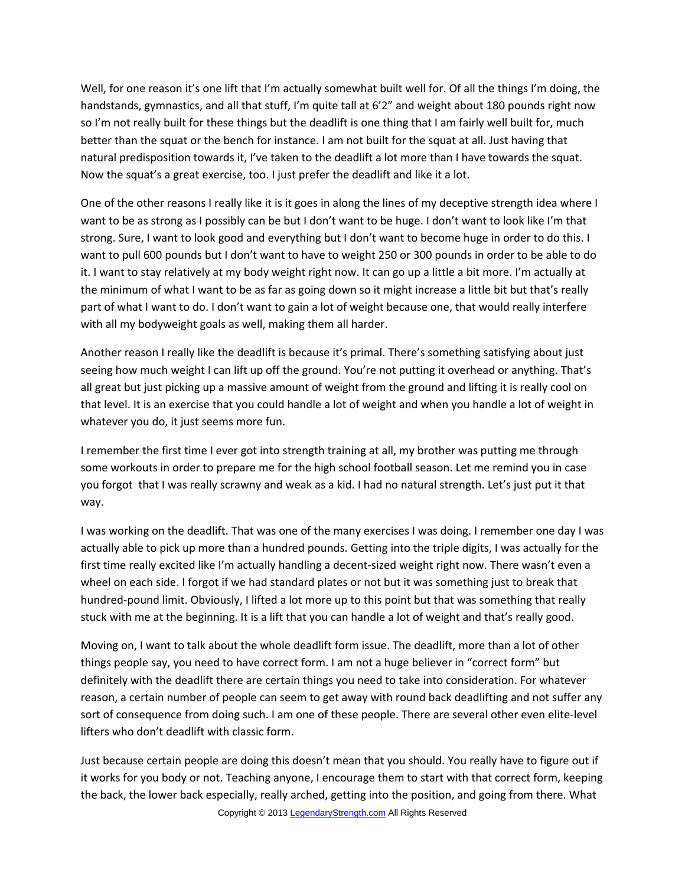Well, for one reason it's one lift that I'm actually somewhat built well for. Of all the things I'm doing, the handstands, gymnastics, and all that stuff, I'm quite tall at 6'2" and weight about 180 pounds right now so I'm not really built for these things but the deadlift is one thing that I am fairly well built for, much better than the squat or the bench for instance. I am not built for the squat at all. Just having that natural predisposition towards it, I've taken to the deadlift a lot more than I have towards the squat. Now the squat's a great exercise, too. I just prefer the deadlift and like it a lot.

One of the other reasons I really like it is it goes in along the lines of my deceptive strength idea where I want to be as strong as I possibly can be but I don't want to be huge. I don't want to look like I'm that strong. Sure, I want to look good and everything but I don't want to become huge in order to do this. I want to pull 600 pounds but I don't want to have to weight 250 or 300 pounds in order to be able to do it. I want to stay relatively at my body weight right now. It can go up a little a bit more. I'm actually at the minimum of what I want to be as far as going down so it might increase a little bit but that's really part of what I want to do. I don't want to gain a lot of weight because one, that would really interfere with all my bodyweight goals as well, making them all harder.

Another reason I really like the deadlift is because it's primal. There's something satisfying about just seeing how much weight I can lift up off the ground. You're not putting it overhead or anything. That's all great but just picking up a massive amount of weight from the ground and lifting it is really cool on that level. It is an exercise that you could handle a lot of weight and when you handle a lot of weight in whatever you do, it just seems more fun.

I remember the first time I ever got into strength training at all, my brother was putting me through some workouts in order to prepare me for the high school football season. Let me remind you in case you forgot that I was really scrawny and weak as a kid. I had no natural strength. Let's just put it that way.

I was working on the deadlift. That was one of the many exercises I was doing. I remember one day I was actually able to pick up more than a hundred pounds. Getting into the triple digits, I was actually for the first time really excited like I'm actually handling a decent-sized weight right now. There wasn't even a wheel on each side. I forgot if we had standard plates or not but it was something just to break that hundred-pound limit. Obviously, I lifted a lot more up to this point but that was something that really stuck with me at the beginning. It is a lift that you can handle a lot of weight and that's really good.

Moving on, I want to talk about the whole deadlift form issue. The deadlift, more than a lot of other things people say, you need to have correct form. I am not a huge believer in "correct form" but definitely with the deadlift there are certain things you need to take into consideration. For whatever reason, a certain number of people can seem to get away with round back deadlifting and not suffer any sort of consequence from doing such. I am one of these people. There are several other even elite-level lifters who don't deadlift with classic form.

Just because certain people are doing this doesn't mean that you should. You really have to figure out if it works for you body or not. Teaching anyone, I encourage them to start with that correct form, keeping the back, the lower back especially, really arched, getting into the position, and going from there. What Copyright © 2013 [LegendaryStrength.com](http://www.LegendaryStrength.com/) All Rights Reserved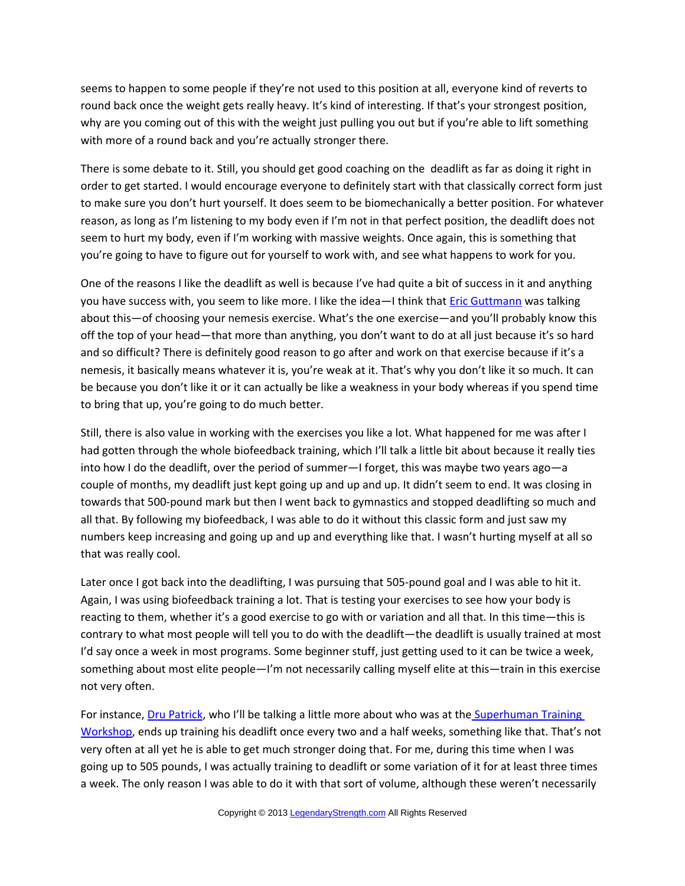seems to happen to some people if they're not used to this position at all, everyone kind of reverts to round back once the weight gets really heavy. It's kind of interesting. If that's your strongest position, why are you coming out of this with the weight just pulling you out but if you're able to lift something with more of a round back and you're actually stronger there.

There is some debate to it. Still, you should get good coaching on the deadlift as far as doing it right in order to get started. I would encourage everyone to definitely start with that classically correct form just to make sure you don't hurt yourself. It does seem to be biomechanically a better position. For whatever reason, as long as I'm listening to my body even if I'm not in that perfect position, the deadlift does not seem to hurt my body, even if I'm working with massive weights. Once again, this is something that you're going to have to figure out for yourself to work with, and see what happens to work for you.

One of the reasons I like the deadlift as well is because I've had quite a bit of success in it and anything you have success with, you seem to like more. I like the idea-I think that *Eric Guttmann* was talking about this—of choosing your nemesis exercise. What's the one exercise—and you'll probably know this off the top of your head—that more than anything, you don't want to do at all just because it's so hard and so difficult? There is definitely good reason to go after and work on that exercise because if it's a nemesis, it basically means whatever it is, you're weak at it. That's why you don't like it so much. It can be because you don't like it or it can actually be like a weakness in your body whereas if you spend time to bring that up, you're going to do much better.

Still, there is also value in working with the exercises you like a lot. What happened for me was after I had gotten through the whole biofeedback training, which I'll talk a little bit about because it really ties into how I do the deadlift, over the period of summer—I forget, this was maybe two years ago—a couple of months, my deadlift just kept going up and up and up. It didn't seem to end. It was closing in towards that 500-pound mark but then I went back to gymnastics and stopped deadlifting so much and all that. By following my biofeedback, I was able to do it without this classic form and just saw my numbers keep increasing and going up and up and everything like that. I wasn't hurting myself at all so that was really cool.

Later once I got back into the deadlifting, I was pursuing that 505-pound goal and I was able to hit it. Again, I was using biofeedback training a lot. That is testing your exercises to see how your body is reacting to them, whether it's a good exercise to go with or variation and all that. In this time—this is contrary to what most people will tell you to do with the deadlift—the deadlift is usually trained at most I'd say once a week in most programs. Some beginner stuff, just getting used to it can be twice a week, something about most elite people—I'm not necessarily calling myself elite at this—train in this exercise not very often.

For instance, [Dru Patrick,](http://drupatrick.com/) who I'll be talking a little more about who was at th[e Superhuman Training](http://superhumanworkshop.com/) [Workshop,](http://superhumanworkshop.com/) ends up training his deadlift once every two and a half weeks, something like that. That's not very often at all yet he is able to get much stronger doing that. For me, during this time when I was going up to 505 pounds, I was actually training to deadlift or some variation of it for at least three times a week. The only reason I was able to do it with that sort of volume, although these weren't necessarily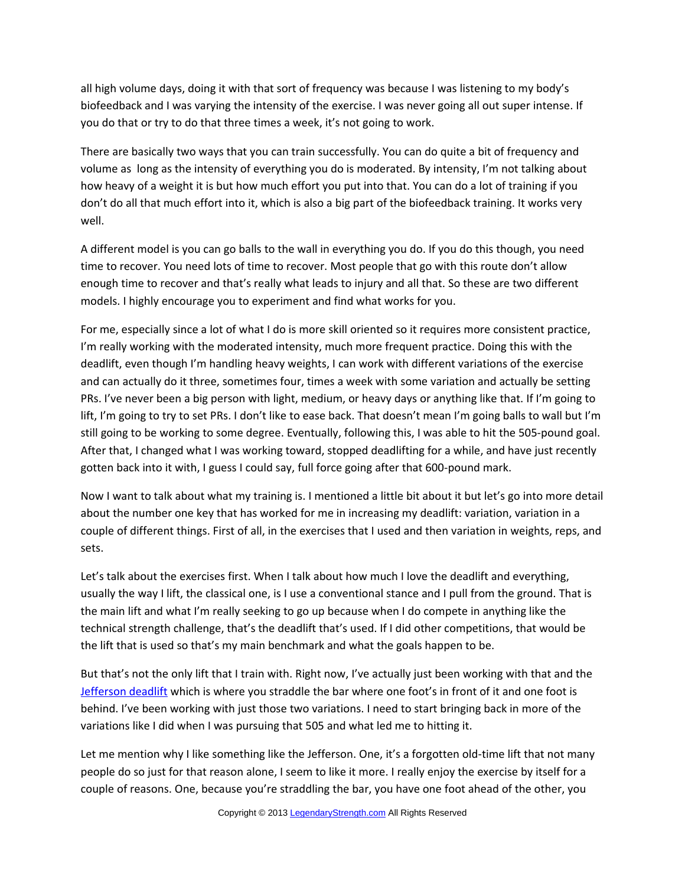all high volume days, doing it with that sort of frequency was because I was listening to my body's biofeedback and I was varying the intensity of the exercise. I was never going all out super intense. If you do that or try to do that three times a week, it's not going to work.

There are basically two ways that you can train successfully. You can do quite a bit of frequency and volume as long as the intensity of everything you do is moderated. By intensity, I'm not talking about how heavy of a weight it is but how much effort you put into that. You can do a lot of training if you don't do all that much effort into it, which is also a big part of the biofeedback training. It works very well.

A different model is you can go balls to the wall in everything you do. If you do this though, you need time to recover. You need lots of time to recover. Most people that go with this route don't allow enough time to recover and that's really what leads to injury and all that. So these are two different models. I highly encourage you to experiment and find what works for you.

For me, especially since a lot of what I do is more skill oriented so it requires more consistent practice, I'm really working with the moderated intensity, much more frequent practice. Doing this with the deadlift, even though I'm handling heavy weights, I can work with different variations of the exercise and can actually do it three, sometimes four, times a week with some variation and actually be setting PRs. I've never been a big person with light, medium, or heavy days or anything like that. If I'm going to lift, I'm going to try to set PRs. I don't like to ease back. That doesn't mean I'm going balls to wall but I'm still going to be working to some degree. Eventually, following this, I was able to hit the 505-pound goal. After that, I changed what I was working toward, stopped deadlifting for a while, and have just recently gotten back into it with, I guess I could say, full force going after that 600-pound mark.

Now I want to talk about what my training is. I mentioned a little bit about it but let's go into more detail about the number one key that has worked for me in increasing my deadlift: variation, variation in a couple of different things. First of all, in the exercises that I used and then variation in weights, reps, and sets.

Let's talk about the exercises first. When I talk about how much I love the deadlift and everything, usually the way I lift, the classical one, is I use a conventional stance and I pull from the ground. That is the main lift and what I'm really seeking to go up because when I do compete in anything like the technical strength challenge, that's the deadlift that's used. If I did other competitions, that would be the lift that is used so that's my main benchmark and what the goals happen to be.

But that's not the only lift that I train with. Right now, I've actually just been working with that and the [Jefferson deadlift](http://www.youtube.com/watch?v=JKlcfzFzflk) which is where you straddle the bar where one foot's in front of it and one foot is behind. I've been working with just those two variations. I need to start bringing back in more of the variations like I did when I was pursuing that 505 and what led me to hitting it.

Let me mention why I like something like the Jefferson. One, it's a forgotten old-time lift that not many people do so just for that reason alone, I seem to like it more. I really enjoy the exercise by itself for a couple of reasons. One, because you're straddling the bar, you have one foot ahead of the other, you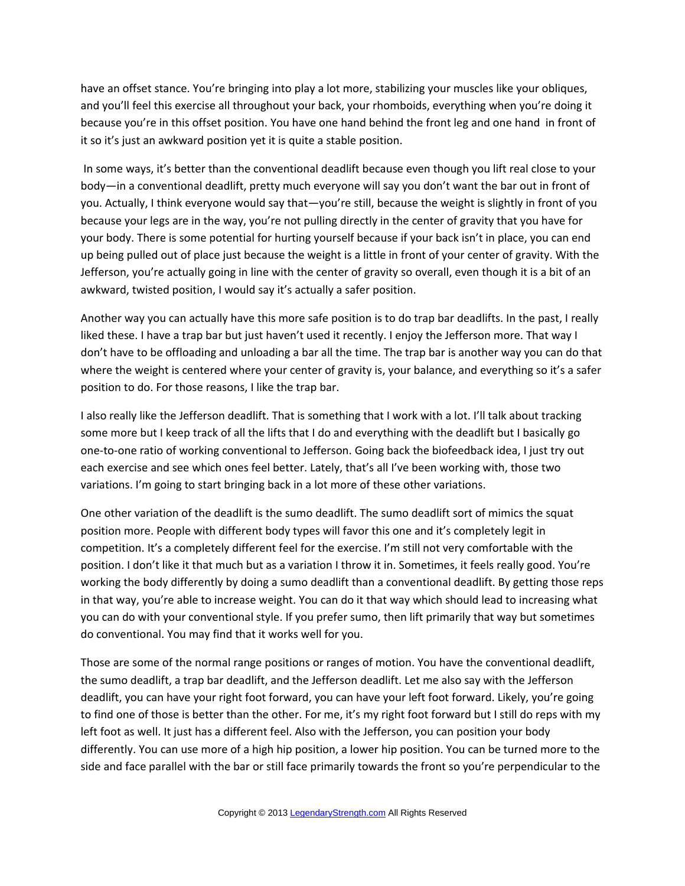have an offset stance. You're bringing into play a lot more, stabilizing your muscles like your obliques, and you'll feel this exercise all throughout your back, your rhomboids, everything when you're doing it because you're in this offset position. You have one hand behind the front leg and one hand in front of it so it's just an awkward position yet it is quite a stable position.

 In some ways, it's better than the conventional deadlift because even though you lift real close to your body—in a conventional deadlift, pretty much everyone will say you don't want the bar out in front of you. Actually, I think everyone would say that—you're still, because the weight is slightly in front of you because your legs are in the way, you're not pulling directly in the center of gravity that you have for your body. There is some potential for hurting yourself because if your back isn't in place, you can end up being pulled out of place just because the weight is a little in front of your center of gravity. With the Jefferson, you're actually going in line with the center of gravity so overall, even though it is a bit of an awkward, twisted position, I would say it's actually a safer position.

Another way you can actually have this more safe position is to do trap bar deadlifts. In the past, I really liked these. I have a trap bar but just haven't used it recently. I enjoy the Jefferson more. That way I don't have to be offloading and unloading a bar all the time. The trap bar is another way you can do that where the weight is centered where your center of gravity is, your balance, and everything so it's a safer position to do. For those reasons, I like the trap bar.

I also really like the Jefferson deadlift. That is something that I work with a lot. I'll talk about tracking some more but I keep track of all the lifts that I do and everything with the deadlift but I basically go one-to-one ratio of working conventional to Jefferson. Going back the biofeedback idea, I just try out each exercise and see which ones feel better. Lately, that's all I've been working with, those two variations. I'm going to start bringing back in a lot more of these other variations.

One other variation of the deadlift is the sumo deadlift. The sumo deadlift sort of mimics the squat position more. People with different body types will favor this one and it's completely legit in competition. It's a completely different feel for the exercise. I'm still not very comfortable with the position. I don't like it that much but as a variation I throw it in. Sometimes, it feels really good. You're working the body differently by doing a sumo deadlift than a conventional deadlift. By getting those reps in that way, you're able to increase weight. You can do it that way which should lead to increasing what you can do with your conventional style. If you prefer sumo, then lift primarily that way but sometimes do conventional. You may find that it works well for you.

Those are some of the normal range positions or ranges of motion. You have the conventional deadlift, the sumo deadlift, a trap bar deadlift, and the Jefferson deadlift. Let me also say with the Jefferson deadlift, you can have your right foot forward, you can have your left foot forward. Likely, you're going to find one of those is better than the other. For me, it's my right foot forward but I still do reps with my left foot as well. It just has a different feel. Also with the Jefferson, you can position your body differently. You can use more of a high hip position, a lower hip position. You can be turned more to the side and face parallel with the bar or still face primarily towards the front so you're perpendicular to the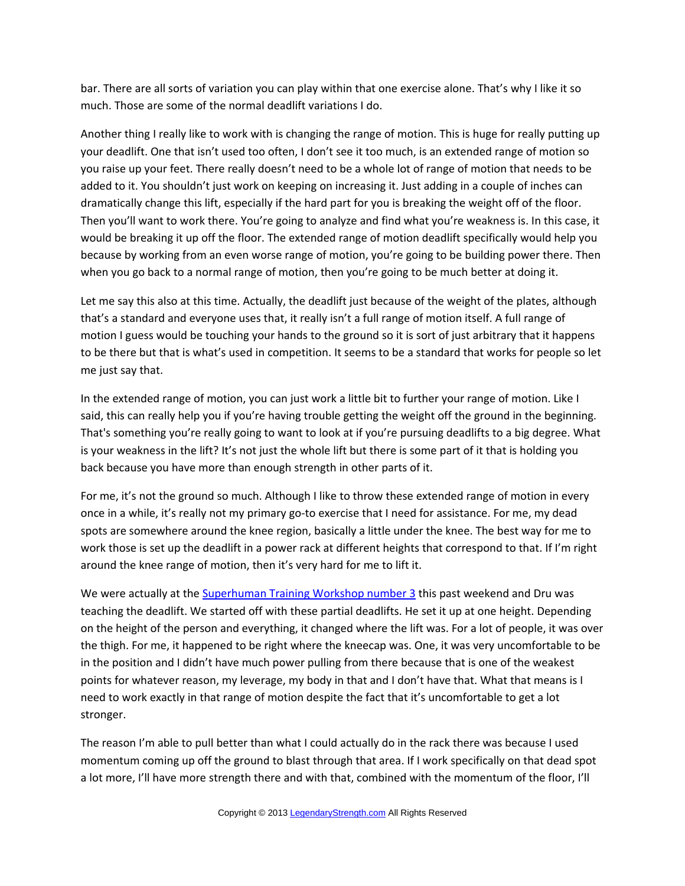bar. There are all sorts of variation you can play within that one exercise alone. That's why I like it so much. Those are some of the normal deadlift variations I do.

Another thing I really like to work with is changing the range of motion. This is huge for really putting up your deadlift. One that isn't used too often, I don't see it too much, is an extended range of motion so you raise up your feet. There really doesn't need to be a whole lot of range of motion that needs to be added to it. You shouldn't just work on keeping on increasing it. Just adding in a couple of inches can dramatically change this lift, especially if the hard part for you is breaking the weight off of the floor. Then you'll want to work there. You're going to analyze and find what you're weakness is. In this case, it would be breaking it up off the floor. The extended range of motion deadlift specifically would help you because by working from an even worse range of motion, you're going to be building power there. Then when you go back to a normal range of motion, then you're going to be much better at doing it.

Let me say this also at this time. Actually, the deadlift just because of the weight of the plates, although that's a standard and everyone uses that, it really isn't a full range of motion itself. A full range of motion I guess would be touching your hands to the ground so it is sort of just arbitrary that it happens to be there but that is what's used in competition. It seems to be a standard that works for people so let me just say that.

In the extended range of motion, you can just work a little bit to further your range of motion. Like I said, this can really help you if you're having trouble getting the weight off the ground in the beginning. That's something you're really going to want to look at if you're pursuing deadlifts to a big degree. What is your weakness in the lift? It's not just the whole lift but there is some part of it that is holding you back because you have more than enough strength in other parts of it.

For me, it's not the ground so much. Although I like to throw these extended range of motion in every once in a while, it's really not my primary go-to exercise that I need for assistance. For me, my dead spots are somewhere around the knee region, basically a little under the knee. The best way for me to work those is set up the deadlift in a power rack at different heights that correspond to that. If I'm right around the knee range of motion, then it's very hard for me to lift it.

We were actually at the [Superhuman Training Workshop number 3](http://legendarystrength.com/podcast-super-human-workshop-recap/) this past weekend and Dru was teaching the deadlift. We started off with these partial deadlifts. He set it up at one height. Depending on the height of the person and everything, it changed where the lift was. For a lot of people, it was over the thigh. For me, it happened to be right where the kneecap was. One, it was very uncomfortable to be in the position and I didn't have much power pulling from there because that is one of the weakest points for whatever reason, my leverage, my body in that and I don't have that. What that means is I need to work exactly in that range of motion despite the fact that it's uncomfortable to get a lot stronger.

The reason I'm able to pull better than what I could actually do in the rack there was because I used momentum coming up off the ground to blast through that area. If I work specifically on that dead spot a lot more, I'll have more strength there and with that, combined with the momentum of the floor, I'll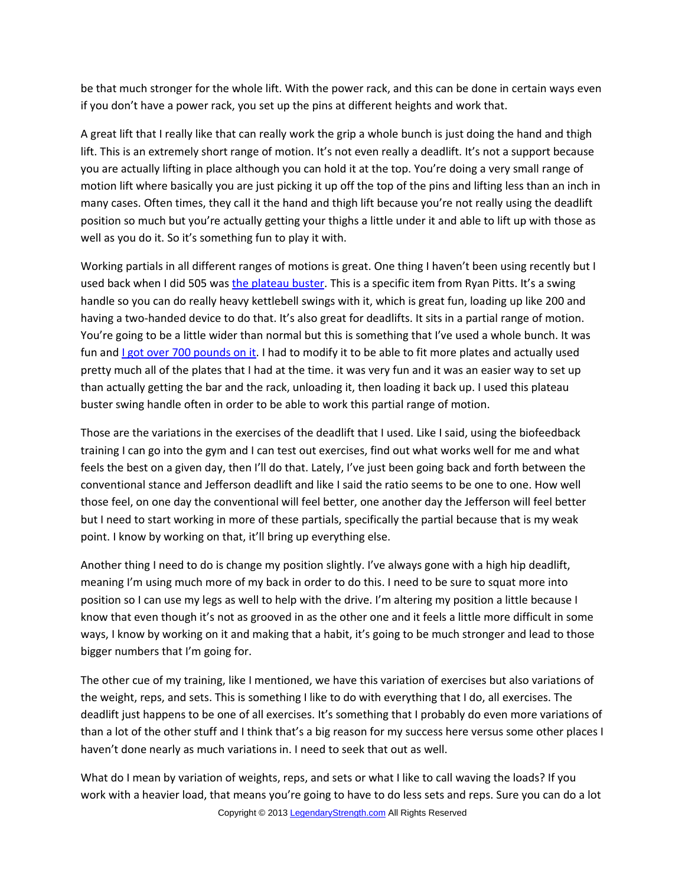be that much stronger for the whole lift. With the power rack, and this can be done in certain ways even if you don't have a power rack, you set up the pins at different heights and work that.

A great lift that I really like that can really work the grip a whole bunch is just doing the hand and thigh lift. This is an extremely short range of motion. It's not even really a deadlift. It's not a support because you are actually lifting in place although you can hold it at the top. You're doing a very small range of motion lift where basically you are just picking it up off the top of the pins and lifting less than an inch in many cases. Often times, they call it the hand and thigh lift because you're not really using the deadlift position so much but you're actually getting your thighs a little under it and able to lift up with those as well as you do it. So it's something fun to play it with.

Working partials in all different ranges of motions is great. One thing I haven't been using recently but I used back when I did 505 was [the plateau buster.](http://legendarystrength.com/swing-handle-review/) This is a specific item from Ryan Pitts. It's a swing handle so you can do really heavy kettlebell swings with it, which is great fun, loading up like 200 and having a two-handed device to do that. It's also great for deadlifts. It sits in a partial range of motion. You're going to be a little wider than normal but this is something that I've used a whole bunch. It was fun and Lgot over 700 pounds on it. I had to modify it to be able to fit more plates and actually used pretty much all of the plates that I had at the time. it was very fun and it was an easier way to set up than actually getting the bar and the rack, unloading it, then loading it back up. I used this plateau buster swing handle often in order to be able to work this partial range of motion.

Those are the variations in the exercises of the deadlift that I used. Like I said, using the biofeedback training I can go into the gym and I can test out exercises, find out what works well for me and what feels the best on a given day, then I'll do that. Lately, I've just been going back and forth between the conventional stance and Jefferson deadlift and like I said the ratio seems to be one to one. How well those feel, on one day the conventional will feel better, one another day the Jefferson will feel better but I need to start working in more of these partials, specifically the partial because that is my weak point. I know by working on that, it'll bring up everything else.

Another thing I need to do is change my position slightly. I've always gone with a high hip deadlift, meaning I'm using much more of my back in order to do this. I need to be sure to squat more into position so I can use my legs as well to help with the drive. I'm altering my position a little because I know that even though it's not as grooved in as the other one and it feels a little more difficult in some ways, I know by working on it and making that a habit, it's going to be much stronger and lead to those bigger numbers that I'm going for.

The other cue of my training, like I mentioned, we have this variation of exercises but also variations of the weight, reps, and sets. This is something I like to do with everything that I do, all exercises. The deadlift just happens to be one of all exercises. It's something that I probably do even more variations of than a lot of the other stuff and I think that's a big reason for my success here versus some other places I haven't done nearly as much variations in. I need to seek that out as well.

What do I mean by variation of weights, reps, and sets or what I like to call waving the loads? If you work with a heavier load, that means you're going to have to do less sets and reps. Sure you can do a lot Copyright © 2013 [LegendaryStrength.com](http://www.LegendaryStrength.com/) All Rights Reserved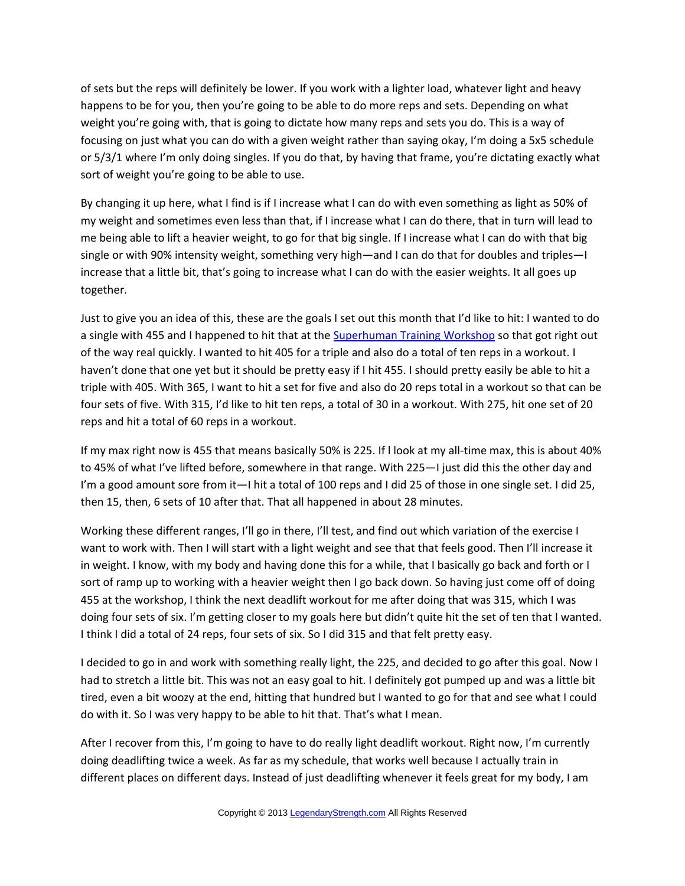of sets but the reps will definitely be lower. If you work with a lighter load, whatever light and heavy happens to be for you, then you're going to be able to do more reps and sets. Depending on what weight you're going with, that is going to dictate how many reps and sets you do. This is a way of focusing on just what you can do with a given weight rather than saying okay, I'm doing a 5x5 schedule or 5/3/1 where I'm only doing singles. If you do that, by having that frame, you're dictating exactly what sort of weight you're going to be able to use.

By changing it up here, what I find is if I increase what I can do with even something as light as 50% of my weight and sometimes even less than that, if I increase what I can do there, that in turn will lead to me being able to lift a heavier weight, to go for that big single. If I increase what I can do with that big single or with 90% intensity weight, something very high—and I can do that for doubles and triples—I increase that a little bit, that's going to increase what I can do with the easier weights. It all goes up together.

Just to give you an idea of this, these are the goals I set out this month that I'd like to hit: I wanted to do a single with 455 and I happened to hit that at the [Superhuman Training Workshop](http://superhumanworkshop.com/) so that got right out of the way real quickly. I wanted to hit 405 for a triple and also do a total of ten reps in a workout. I haven't done that one yet but it should be pretty easy if I hit 455. I should pretty easily be able to hit a triple with 405. With 365, I want to hit a set for five and also do 20 reps total in a workout so that can be four sets of five. With 315, I'd like to hit ten reps, a total of 30 in a workout. With 275, hit one set of 20 reps and hit a total of 60 reps in a workout.

If my max right now is 455 that means basically 50% is 225. If l look at my all-time max, this is about 40% to 45% of what I've lifted before, somewhere in that range. With 225—I just did this the other day and I'm a good amount sore from it—I hit a total of 100 reps and I did 25 of those in one single set. I did 25, then 15, then, 6 sets of 10 after that. That all happened in about 28 minutes.

Working these different ranges, I'll go in there, I'll test, and find out which variation of the exercise I want to work with. Then I will start with a light weight and see that that feels good. Then I'll increase it in weight. I know, with my body and having done this for a while, that I basically go back and forth or I sort of ramp up to working with a heavier weight then I go back down. So having just come off of doing 455 at the workshop, I think the next deadlift workout for me after doing that was 315, which I was doing four sets of six. I'm getting closer to my goals here but didn't quite hit the set of ten that I wanted. I think I did a total of 24 reps, four sets of six. So I did 315 and that felt pretty easy.

I decided to go in and work with something really light, the 225, and decided to go after this goal. Now I had to stretch a little bit. This was not an easy goal to hit. I definitely got pumped up and was a little bit tired, even a bit woozy at the end, hitting that hundred but I wanted to go for that and see what I could do with it. So I was very happy to be able to hit that. That's what I mean.

After I recover from this, I'm going to have to do really light deadlift workout. Right now, I'm currently doing deadlifting twice a week. As far as my schedule, that works well because I actually train in different places on different days. Instead of just deadlifting whenever it feels great for my body, I am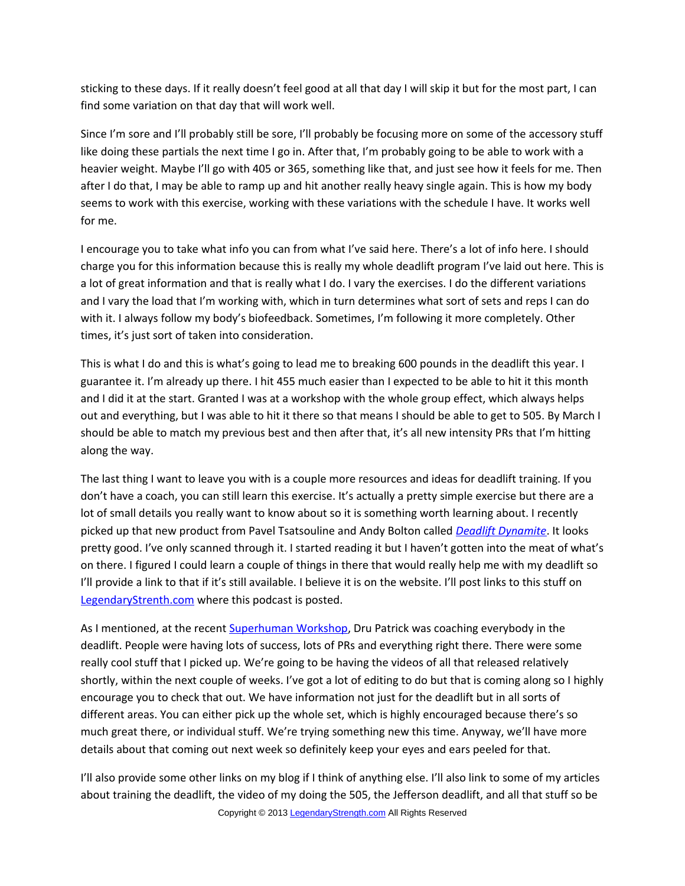sticking to these days. If it really doesn't feel good at all that day I will skip it but for the most part, I can find some variation on that day that will work well.

Since I'm sore and I'll probably still be sore, I'll probably be focusing more on some of the accessory stuff like doing these partials the next time I go in. After that, I'm probably going to be able to work with a heavier weight. Maybe I'll go with 405 or 365, something like that, and just see how it feels for me. Then after I do that, I may be able to ramp up and hit another really heavy single again. This is how my body seems to work with this exercise, working with these variations with the schedule I have. It works well for me.

I encourage you to take what info you can from what I've said here. There's a lot of info here. I should charge you for this information because this is really my whole deadlift program I've laid out here. This is a lot of great information and that is really what I do. I vary the exercises. I do the different variations and I vary the load that I'm working with, which in turn determines what sort of sets and reps I can do with it. I always follow my body's biofeedback. Sometimes, I'm following it more completely. Other times, it's just sort of taken into consideration.

This is what I do and this is what's going to lead me to breaking 600 pounds in the deadlift this year. I guarantee it. I'm already up there. I hit 455 much easier than I expected to be able to hit it this month and I did it at the start. Granted I was at a workshop with the whole group effect, which always helps out and everything, but I was able to hit it there so that means I should be able to get to 505. By March I should be able to match my previous best and then after that, it's all new intensity PRs that I'm hitting along the way.

The last thing I want to leave you with is a couple more resources and ideas for deadlift training. If you don't have a coach, you can still learn this exercise. It's actually a pretty simple exercise but there are a lot of small details you really want to know about so it is something worth learning about. I recently picked up that new product from Pavel Tsatsouline and Andy Bolton called *[Deadlift Dynamite](http://legendarystrength.com/go/deadliftdynamite/)*. It looks pretty good. I've only scanned through it. I started reading it but I haven't gotten into the meat of what's on there. I figured I could learn a couple of things in there that would really help me with my deadlift so I'll provide a link to that if it's still available. I believe it is on the website. I'll post links to this stuff on [LegendaryStrenth.com](http://LegendaryStrenth.com/) where this podcast is posted.

As I mentioned, at the recent [Superhuman Workshop,](http://superhumanworkshop.com/) Dru Patrick was coaching everybody in the deadlift. People were having lots of success, lots of PRs and everything right there. There were some really cool stuff that I picked up. We're going to be having the videos of all that released relatively shortly, within the next couple of weeks. I've got a lot of editing to do but that is coming along so I highly encourage you to check that out. We have information not just for the deadlift but in all sorts of different areas. You can either pick up the whole set, which is highly encouraged because there's so much great there, or individual stuff. We're trying something new this time. Anyway, we'll have more details about that coming out next week so definitely keep your eyes and ears peeled for that.

I'll also provide some other links on my blog if I think of anything else. I'll also link to some of my articles about training the deadlift, the video of my doing the 505, the Jefferson deadlift, and all that stuff so be Copyright © 2013 [LegendaryStrength.com](http://www.LegendaryStrength.com/) All Rights Reserved